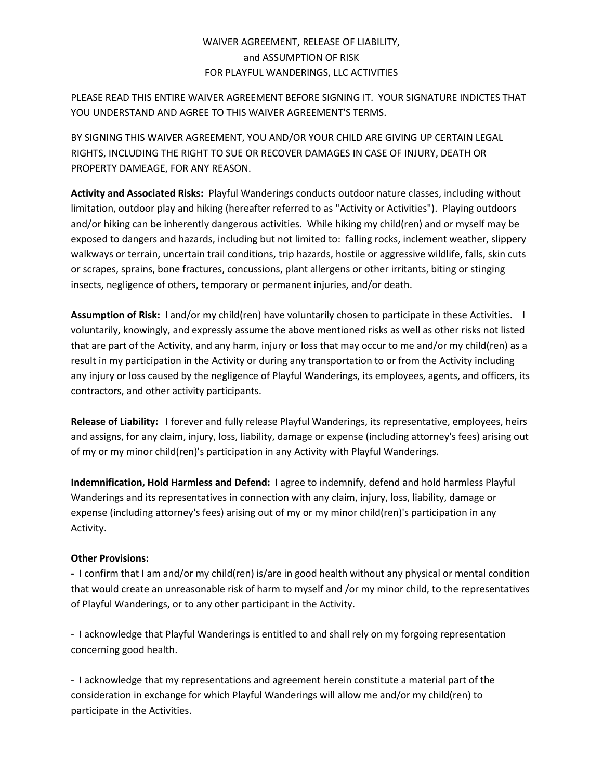## WAIVER AGREEMENT, RELEASE OF LIABILITY, and ASSUMPTION OF RISK FOR PLAYFUL WANDERINGS, LLC ACTIVITIES

PLEASE READ THIS ENTIRE WAIVER AGREEMENT BEFORE SIGNING IT. YOUR SIGNATURE INDICTES THAT YOU UNDERSTAND AND AGREE TO THIS WAIVER AGREEMENT'S TERMS.

BY SIGNING THIS WAIVER AGREEMENT, YOU AND/OR YOUR CHILD ARE GIVING UP CERTAIN LEGAL RIGHTS, INCLUDING THE RIGHT TO SUE OR RECOVER DAMAGES IN CASE OF INJURY, DEATH OR PROPERTY DAMEAGE, FOR ANY REASON.

**Activity and Associated Risks:** Playful Wanderings conducts outdoor nature classes, including without limitation, outdoor play and hiking (hereafter referred to as "Activity or Activities"). Playing outdoors and/or hiking can be inherently dangerous activities. While hiking my child(ren) and or myself may be exposed to dangers and hazards, including but not limited to: falling rocks, inclement weather, slippery walkways or terrain, uncertain trail conditions, trip hazards, hostile or aggressive wildlife, falls, skin cuts or scrapes, sprains, bone fractures, concussions, plant allergens or other irritants, biting or stinging insects, negligence of others, temporary or permanent injuries, and/or death.

**Assumption of Risk:** I and/or my child(ren) have voluntarily chosen to participate in these Activities. I voluntarily, knowingly, and expressly assume the above mentioned risks as well as other risks not listed that are part of the Activity, and any harm, injury or loss that may occur to me and/or my child(ren) as a result in my participation in the Activity or during any transportation to or from the Activity including any injury or loss caused by the negligence of Playful Wanderings, its employees, agents, and officers, its contractors, and other activity participants.

**Release of Liability:** I forever and fully release Playful Wanderings, its representative, employees, heirs and assigns, for any claim, injury, loss, liability, damage or expense (including attorney's fees) arising out of my or my minor child(ren)'s participation in any Activity with Playful Wanderings.

**Indemnification, Hold Harmless and Defend:** I agree to indemnify, defend and hold harmless Playful Wanderings and its representatives in connection with any claim, injury, loss, liability, damage or expense (including attorney's fees) arising out of my or my minor child(ren)'s participation in any Activity.

## **Other Provisions:**

**-** I confirm that I am and/or my child(ren) is/are in good health without any physical or mental condition that would create an unreasonable risk of harm to myself and /or my minor child, to the representatives of Playful Wanderings, or to any other participant in the Activity.

- I acknowledge that Playful Wanderings is entitled to and shall rely on my forgoing representation concerning good health.

- I acknowledge that my representations and agreement herein constitute a material part of the consideration in exchange for which Playful Wanderings will allow me and/or my child(ren) to participate in the Activities.